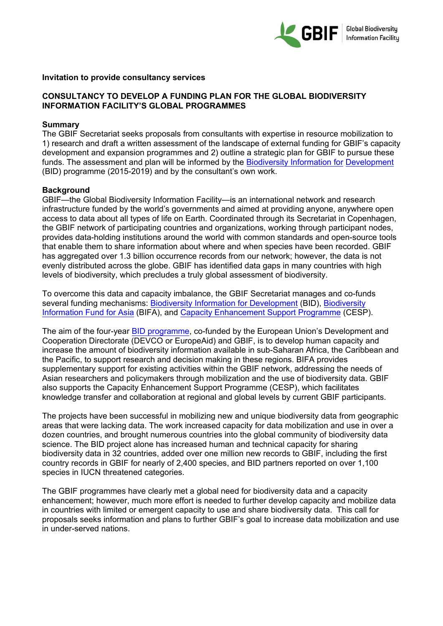

#### **Invitation to provide consultancy services**

## **CONSULTANCY TO DEVELOP A FUNDING PLAN FOR THE GLOBAL BIODIVERSITY INFORMATION FACILITY'S GLOBAL PROGRAMMES**

#### **Summary**

The GBIF Secretariat seeks proposals from consultants with expertise in resource mobilization to 1) research and draft a written assessment of the landscape of external funding for GBIF's capacity development and expansion programmes and 2) outline a strategic plan for GBIF to pursue these funds. The assessment and plan will be informed by the Biodiv[ersity Information for](https://www.gbif.org/programme/82243/bid-biodiversity-information-for-development) Development [\(BID\) program](https://www.gbif.org/programme/82243/bid-biodiversity-information-for-development)me (2015-2019) and by the consultant's own work.

### **Background**

GBIF—the Global Biodiversity Information Facility—is an international network and research infrastructure funded by the world's governments and aimed at providing anyone, anywhere open access to data about all types of life on Earth. Coordinated through its Secretariat in Copenhagen, the GBIF network of participating countries and organizations, working through participant nodes, provides data-holding institutions around the world with common standards and open-source tools that enable them to share information about where and when species have been recorded. GBIF has aggregated over 1.3 billion occurrence records from our network; however, the data is not evenly distributed across the globe. GBIF has identified data gaps in many countries with high levels of biodiversity, which precludes a truly global assessment of biodiversity.

To overcome this data and capacity imbalance, the GBIF Secretariat manages and co-funds several funding mechanisms: [Biodiversity Information for Development](https://www.gbif.org/programme/82243/bid-biodiversity-information-for-development) (BID), [Biodiversity](https://www.gbif.org/programme/82629/bifa-biodiversity-information-fund-for-asia) [Information Fund for Asia](https://www.gbif.org/programme/82629/bifa-biodiversity-information-fund-for-asia) (BIFA), an[d Capacity Enhancement Support Programme](https://www.gbif.org/programme/82219/capacity-enhancement-support-programme) (CESP).

The aim of the four-year [BID programme,](http://www.gbif.org/bid) co-funded by the European Union's Development and Cooperation Directorate (DEVCO or EuropeAid) and GBIF, is to develop human capacity and increase the amount of biodiversity information available in sub-Saharan Africa, the Caribbean and the Pacific, to support research and decision making in these regions. BIFA provides supplementary support for existing activities within the GBIF network, addressing the needs of Asian researchers and policymakers through mobilization and the use of biodiversity data. GBIF also supports the Capacity Enhancement Support Programme (CESP), which facilitates knowledge transfer and collaboration at regional and global levels by current GBIF participants.

The projects have been successful in mobilizing new and unique biodiversity data from geographic areas that were lacking data. The work increased capacity for data mobilization and use in over a dozen countries, and brought numerous countries into the global community of biodiversity data science. The BID project alone has increased human and technical capacity for sharing biodiversity data in 32 countries, added over one million new records to GBIF, including the first country records in GBIF for nearly of 2,400 species, and BID partners reported on over 1,100 species in IUCN threatened categories.

The GBIF programmes have clearly met a global need for biodiversity data and a capacity enhancement; however, much more effort is needed to further develop capacity and mobilize data in countries with limited or emergent capacity to use and share biodiversity data. This call for proposals seeks information and plans to further GBIF's goal to increase data mobilization and use in under-served nations.